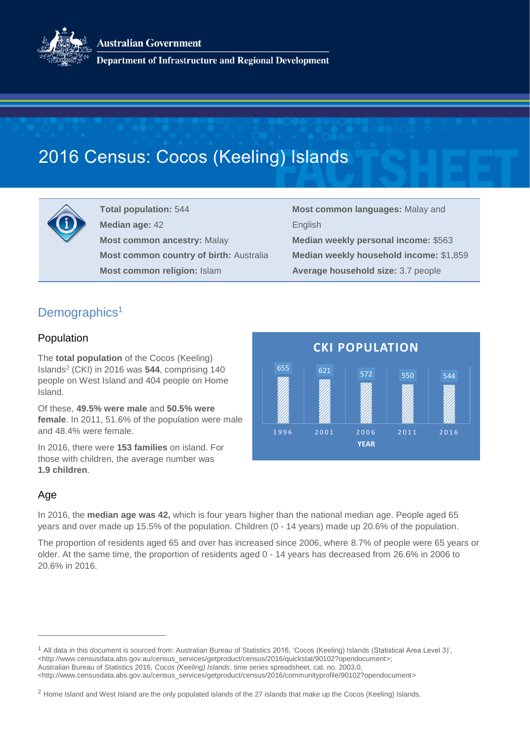**Australian Government** 



**Department of Infrastructure and Regional Development** 

# 2016 Census: Cocos (Keeling) Islands



**Total population:** 544 **Median age:** 42 **Most common ancestry:** Malay **Most common country of birth:** Australia **Most common religion:** Islam

**Most common languages:** Malay and English **Median weekly personal income:** \$563 **Median weekly household income:** \$1,859 **Average household size:** 3.7 people

# Demographics<sup>1</sup>

### Population

The **total population** of the Cocos (Keeling) Islands<sup>2</sup> (CKI) in 2016 was **544**, comprising 140 people on West Island and 404 people on Home Island.

Of these, **49.5% were male** and **50.5% were female**. In 2011, 51.6% of the population were male and 48.4% were female.

In 2016, there were **153 families** on island. For those with children, the average number was **1.9 children**.

| <b>CKI POPULATION</b> |      |                     |      |      |
|-----------------------|------|---------------------|------|------|
| 655                   | 621  | 572                 | 550  | 544  |
| 1996                  | 2001 | 2006<br><b>YEAR</b> | 2011 | 2016 |

### Age

 $\overline{a}$ 

In 2016, the **median age was 42,** which is four years higher than the national median age. People aged 65 years and over made up 15.5% of the population. Children (0 - 14 years) made up 20.6% of the population.

The proportion of residents aged 65 and over has increased since 2006, where 8.7% of people were 65 years or older. At the same time, the proportion of residents aged 0 - 14 years has decreased from 26.6% in 2006 to 20.6% in 2016.

<sup>1</sup> All data in this document is sourced from: Australian Bureau of Statistics 2016, 'Cocos (Keeling) Islands (Statistical Area Level 3)', <http://www.censusdata.abs.gov.au/census\_services/getproduct/census/2016/quickstat/90102?opendocument>; Australian Bureau of Statistics 2016, *Cocos (Keeling) Islands*, time series spreadsheet, cat. no. 2003.0,

<sup>&</sup>lt;http://www.censusdata.abs.gov.au/census\_services/getproduct/census/2016/communityprofile/90102?opendocument>

<sup>&</sup>lt;sup>2</sup> Home Island and West Island are the only populated islands of the 27 islands that make up the Cocos (Keeling) Islands.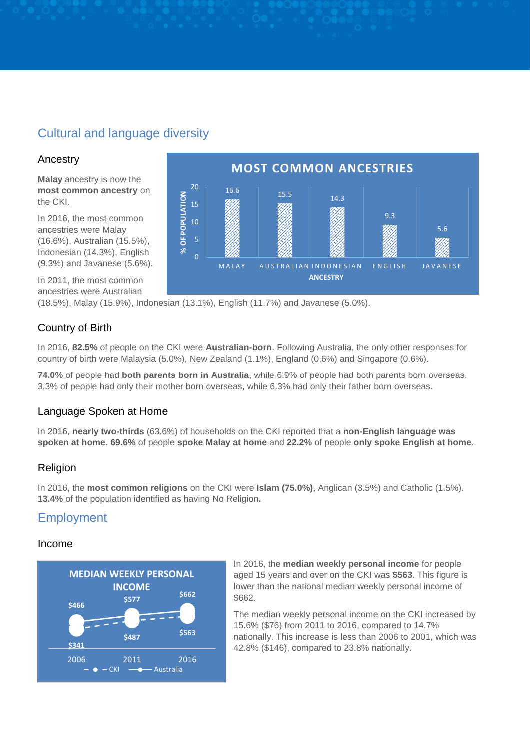# Cultural and language diversity

### Ancestry

**Malay** ancestry is now the **most common ancestry** on the CKI.

In 2016, the most common ancestries were Malay (16.6%), Australian (15.5%), Indonesian (14.3%), English (9.3%) and Javanese (5.6%).

In 2011, the most common ancestries were Australian

(18.5%), Malay (15.9%), Indonesian (13.1%), English (11.7%) and Javanese (5.0%).

### Country of Birth

In 2016, **82.5%** of people on the CKI were **Australian-born**. Following Australia, the only other responses for country of birth were Malaysia (5.0%), New Zealand (1.1%), England (0.6%) and Singapore (0.6%).

**74.0%** of people had **both parents born in Australia**, while 6.9% of people had both parents born overseas. 3.3% of people had only their mother born overseas, while 6.3% had only their father born overseas.

### Language Spoken at Home

In 2016, **nearly two-thirds** (63.6%) of households on the CKI reported that a **non-English language was spoken at home**. **69.6%** of people **spoke Malay at home** and **22.2%** of people **only spoke English at home**.

### Religion

In 2016, the **most common religions** on the CKI were **Islam (75.0%)**, Anglican (3.5%) and Catholic (1.5%). **13.4%** of the population identified as having No Religion**.** 

## Employment

#### Income



In 2016, the **median weekly personal income** for people aged 15 years and over on the CKI was **\$563**. This figure is lower than the national median weekly personal income of \$662.

The median weekly personal income on the CKI increased by 15.6% (\$76) from 2011 to 2016, compared to 14.7% nationally. This increase is less than 2006 to 2001, which was 42.8% (\$146), compared to 23.8% nationally.